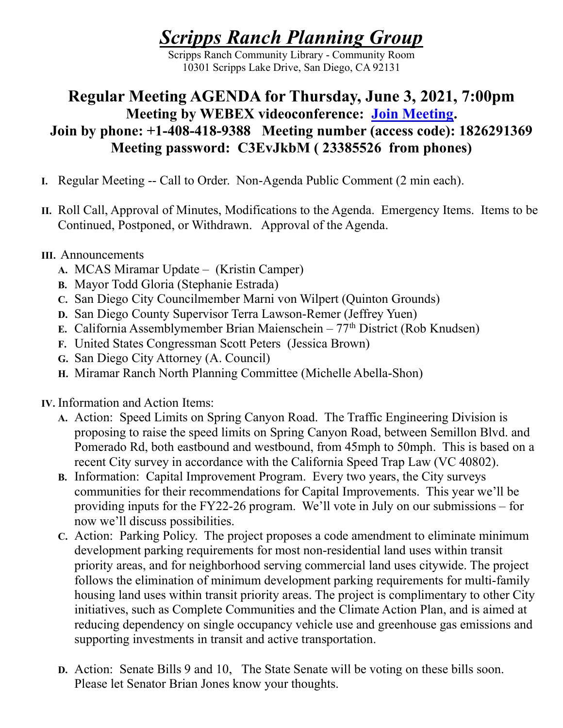## Scripps Ranch Planning Group

Scripps Ranch Community Library - Community Room 10301 Scripps Lake Drive, San Diego, CA 92131

## Regular Meeting AGENDA for Thursday, June 3, 2021, 7:00pm Meeting by WEBEX videoconference: Join Meeting. Join by phone: +1-408-418-9388 Meeting number (access code): 1826291369 Meeting password: C3EvJkbM ( 23385526 from phones)

- I. Regular Meeting -- Call to Order. Non-Agenda Public Comment (2 min each).
- II. Roll Call, Approval of Minutes, Modifications to the Agenda. Emergency Items. Items to be Continued, Postponed, or Withdrawn. Approval of the Agenda.
- III. Announcements
	- A. MCAS Miramar Update (Kristin Camper)
	- B. Mayor Todd Gloria (Stephanie Estrada)
	- C. San Diego City Councilmember Marni von Wilpert (Quinton Grounds)
	- D. San Diego County Supervisor Terra Lawson-Remer (Jeffrey Yuen)
	- E. California Assemblymember Brian Maienschein  $77<sup>th</sup>$  District (Rob Knudsen)
	- F. United States Congressman Scott Peters (Jessica Brown)
	- G. San Diego City Attorney (A. Council)
	- H. Miramar Ranch North Planning Committee (Michelle Abella-Shon)

IV. Information and Action Items:

- A. Action: Speed Limits on Spring Canyon Road. The Traffic Engineering Division is proposing to raise the speed limits on Spring Canyon Road, between Semillon Blvd. and Pomerado Rd, both eastbound and westbound, from 45mph to 50mph. This is based on a recent City survey in accordance with the California Speed Trap Law (VC 40802).
- B. Information: Capital Improvement Program. Every two years, the City surveys communities for their recommendations for Capital Improvements. This year we'll be providing inputs for the FY22-26 program. We'll vote in July on our submissions – for now we'll discuss possibilities.
- C. Action: Parking Policy. The project proposes a code amendment to eliminate minimum development parking requirements for most non-residential land uses within transit priority areas, and for neighborhood serving commercial land uses citywide. The project follows the elimination of minimum development parking requirements for multi-family housing land uses within transit priority areas. The project is complimentary to other City initiatives, such as Complete Communities and the Climate Action Plan, and is aimed at reducing dependency on single occupancy vehicle use and greenhouse gas emissions and supporting investments in transit and active transportation.
- D. Action: Senate Bills 9 and 10, The State Senate will be voting on these bills soon. Please let Senator Brian Jones know your thoughts.